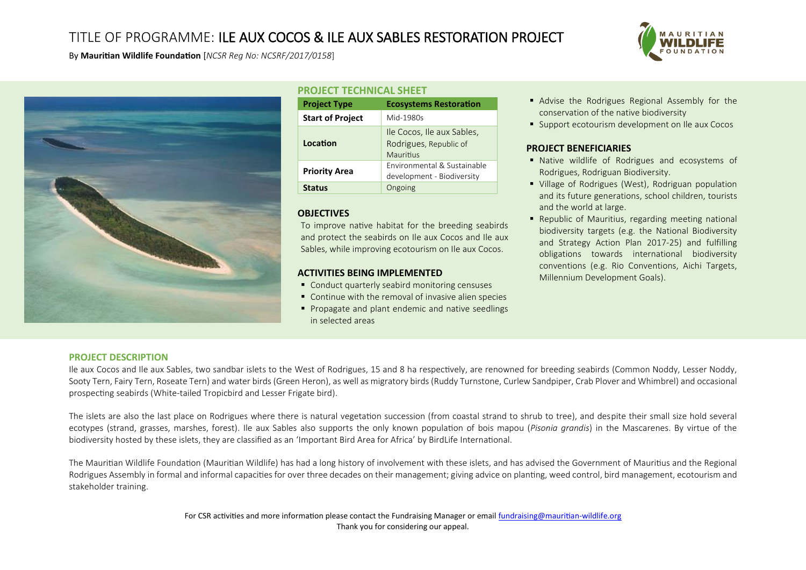# TITLE OF PROGRAMME: ILE AUX COCOS & ILE AUX SABLES RESTORATION PROJECT



By **Mauritian Wildlife Foundation** [*NCSR Reg No: NCSRF/2017/0158*]



# **PROJECT TECHNICAL SHEET**

| <b>Project Type</b>     | <b>Ecosystems Restoration</b>                                     |
|-------------------------|-------------------------------------------------------------------|
| <b>Start of Project</b> | Mid-1980s                                                         |
| Location                | Ile Cocos, Ile aux Sables,<br>Rodrigues, Republic of<br>Mauritius |
| <b>Priority Area</b>    | Environmental & Sustainable<br>development - Biodiversity         |
| Status                  | Ongoing                                                           |

## **OBJECTIVES**

To improve native habitat for the breeding seabirds and protect the seabirds on Ile aux Cocos and Ile aux Sables, while improving ecotourism on Ile aux Cocos.

### **ACTIVITIES BEING IMPLEMENTED**

- Conduct quarterly seabird monitoring censuses
- Continue with the removal of invasive alien species
- **Propagate and plant endemic and native seedlings** in selected areas
- Advise the Rodrigues Regional Assembly for the conservation of the native biodiversity
- **Support ecotourism development on Ile aux Cocos**

### **PROJECT BENEFICIARIES**

- Native wildlife of Rodrigues and ecosystems of Rodrigues, Rodriguan Biodiversity.
- Village of Rodrigues (West), Rodriguan population and its future generations, school children, tourists and the world at large.
- Republic of Mauritius, regarding meeting national biodiversity targets (e.g. the National Biodiversity and Strategy Action Plan 2017-25) and fulfilling obligations towards international biodiversity conventions (e.g. Rio Conventions, Aichi Targets, Millennium Development Goals).

### **PROJECT DESCRIPTION**

Ile aux Cocos and Ile aux Sables, two sandbar islets to the West of Rodrigues, 15 and 8 ha respectively, are renowned for breeding seabirds (Common Noddy, Lesser Noddy, Sooty Tern, Fairy Tern, Roseate Tern) and water birds (Green Heron), as well as migratory birds (Ruddy Turnstone, Curlew Sandpiper, Crab Plover and Whimbrel) and occasional prospecting seabirds (White-tailed Tropicbird and Lesser Frigate bird).

The islets are also the last place on Rodrigues where there is natural vegetation succession (from coastal strand to shrub to tree), and despite their small size hold several ecotypes (strand, grasses, marshes, forest). Ile aux Sables also supports the only known population of bois mapou (*Pisonia grandis*) in the Mascarenes. By virtue of the biodiversity hosted by these islets, they are classified as an 'Important Bird Area for Africa' by BirdLife International.

The Mauritian Wildlife Foundation (Mauritian Wildlife) has had a long history of involvement with these islets, and has advised the Government of Mauritius and the Regional Rodrigues Assembly in formal and informal capacities for over three decades on their management; giving advice on planting, weed control, bird management, ecotourism and stakeholder training.

> For CSR activities and more information please contact the Fundraising Manager or emai[l fundraising@mauritian-wildlife.org](mailto:fundraising@mauritian-wildlife.org) Thank you for considering our appeal.